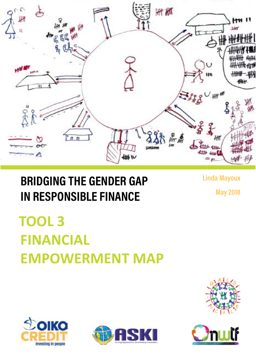

## **BRIDGING THE GENDER GAP IN RESPONSIBLE FINANCE**

**Linda Mayoux**

**May 2018**

# **TOOL 3 FINANCIAL EMPOWERMENT MAP**







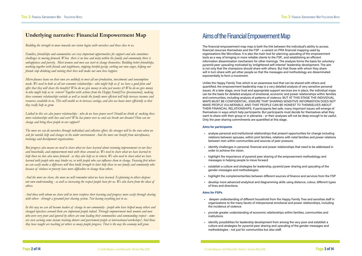### **Underlying narrative: Financial Empowerment Map**

*Building the strength to move towards our vision begins with ourselves and those close to us.* 

*Families, friendships and communities are very important opportunities for support and also sometimes challenges in moving forward. When there is no love and unity within the family and community there is unhappiness and poverty. Most women and men can start to change themselves. Building better friendships, working together with friends and neighbours, stopping hurtful gossip, curbing our own anger, helping our friends stop drinking and ruining their lives will make our own lives happier.* 

*Micro-finance loans on their own are unlikely to meet all our production, investments and consumption needs. We need to look at all our economic relationships - who might help us if we have a good plan and offer that they will share the benefits? Who do we give money to who just wastes it? Who do we give money to who might help us in return? Together with actions from the Happy FamilyTree (previoustool), making these economic relationships outside as well as inside the family more efficient will help increase incomes and resources available to us. This will enable us to increase savings, and also use loans more efficiently so that they really help us grow.*

*Linked to this are also power relationships - who do we have power over? Should we think of making these more relationships with love and care? Who has power over us and can break our dreams? How can we change and bring these people to our support?* 

*The more we can do ourselves through individual and collective effort, the stronger will be the voice when we ask for outside help and changes in the wider environment. And the more our benefit from microfinance, trainings and development organisations.*

*But progress also means we need to share what we have learned about visioning improvements in our lives and households, and empowerment tools with those around us. We need to share what we have learned to help those we love also move forward - as they also help us in return. We also need to share what we have learned with people who may hinder us, or with people who can influence them to change. Focusing first where we can easily make a difference will then build strength to later help those in our family and community who because of violence or poverty have more difficulties to change than others.*

*And the more we share, the more we will remember what we have learned. Explaining to others deepens our own understanding - as well as increasing the respect people have for us. We also learn from the ideas of others.* 

*And those with whom we share will in turn reinforce their learning and progress more easily through sharing with others - through a pyramid peer sharing system. Not leaving eveything just to us.*

*In this way we can all become leaders of change in our community - people who have helped many others and changed injustices around them are important people indeed. Through empowerment tools women and men who were very poor and ignored by others are now leading their communities and commanding respect - some are even earning some income training donors and government people at international workshops! And those they have taught are teaching yet others so many people progress. That is the way the economy will grow.*

### Aims of the Financial Empowerment Map

The financial empowerment map map is both the link between the individual's ability to access financial reources themselves and the FSP - a variant on PRA financial mapping used by organisations like MicroSave. It is also the main tool for planning upscaling of the empowerment tools as a way of bringing in more reliable clients to the FSP., and establishing an efficient information dissemination mechanism for other trainings. The analysis forms the basis for voluntary pyramid peer upscaling motivated by 'enlightened self-interest' leadership development. The aim is not only that the champions should share with others. But that those with whom they share will in turn share with yet other people so that the messages and methodology are disseminated exponentially to form a movement.

Unlike the Happy Family Tree which is an awareness tool that can be shared with others and quantified, the empowerment leadership map is a very detailed analysis of very sensitive personal issues. At a later stage, once trust and appropriate support services are in place, the individual maps can be the basis for detailed analysis of emotional, economic and power relationships within families and communities, including analysis of patterns of violence. BUT AT THIS STAGE THE INDIVIDUAL MAPS MUST BE CONFIDENTIAL. ENSURE THAT SHARING SENSITIVE INFORMATION DOES NOT MAKE PEOPLE VULNERABLE. AND THAT PEOPLE CAN BE HONEST TO THEMSELVES ABOUT THEIR FINANCIAL RELATIONSHIPS. If participants feel safe, many important issues will emerge of themselves in ways which help participants. But participants must decide for themselves what they want to share with their group or in plenaries - or their analyses will not be deep enough to be useful. Only the peer sharing commitments are quantified at this stage.

### **Aims for participants**

- analyse personal and institutional relationships that present opportunities for change including relations between spouses, within joint families, relations with natal families and power relations between men within communities and sources of peer pressure.
- identify challenges in personal, financial and power relationships that need to be addressed in order to achieve the vision.
- highlight the importance of pyramid peer sharing of the empowerment methodology and messages in helping people to move forward
- establish a culture and strategies for leadership, pyramid peer sharing and upscaling of the gender messages and methodologies
- highlight the complementarities between different sources of finance and services from the FSP
- develop more advanced analytical and diagramming skills using distance, colour, different types of lines and directions.

### **Aims for FSPs**

- deepen understanding of different household from the Happy Family Tree and sensitise staff in organisations to the many facets of interpersonal emotional and power relationships, including the incidence of violence
- provide greater understanding of economic relationships within families, communities and institutions
- identify possibilities for leadership development from among the very poor and establish a culture and strategies for pyramid peer sharing and upscaling of the gender messages and methodologies - not just for communities but also staff.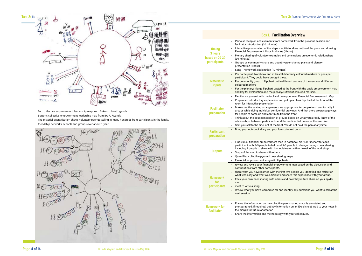

Top: collective empowerment leadership map from Bukonzo Joint Uganda

Bottom: collective empowerment leadership map from BAIR, Rwands.

The pictorial quantification shows voluntary peer upscaling in many hundreds from participants in the family, friendship networks, schools and groups over about 1 year.



### **Box 1. Facilitation Overview**

- from homework from the previous session and
- eps facilitator does not hold the pen and drawing diaries (1 hour)
- mples and conclusions on economic relationships
- I quantify peer sharing plans and plenary

### 0 minutes)

- least 3 differently coloured markers or pens per ught these.
- $\pm$  put in different corners of the venue and different
- pasted at the front with the basic empowerment map plenary. Different coloured markers.
- and draw your own Financial Empowerment Map tion and put up a blank flipchart at the front of the
- ents are appropriate for people to sit comfortably in nfidential drawings. And that there are passageways ibute from the front.
- n of groups based on what you already know of the rts and the confidential nature of the exercise.
- he front. You do not hold the pen at any time.
- our four coloured pens

ent map in notebook diary or flipchart for each Plp and 3-5 people to change through peer sharing, immediately or within 1 week of the workshop. thers

- 
- er sharing maps
- ith flipcharts
- empowerment map based on the discussion and ants.
- h the first two people you identified and reflect on ficult and share this experience with your group. others and how they in turn share on your spider
- far and identify any questions you want to ask at the

llective peer sharing maps is annotated and ey information on an Excel sheet. Add to your notes in

odology with your colleagues.

|                                                                   | рох I. – гас                                                                                                                                                                                                                                                                                                                                                   |
|-------------------------------------------------------------------|----------------------------------------------------------------------------------------------------------------------------------------------------------------------------------------------------------------------------------------------------------------------------------------------------------------------------------------------------------------|
| <b>Timing</b><br>3 hours<br>based on 20-30<br><b>participants</b> | Pairwise recap on achievements fro<br>facilitator introduction (20 minutes)<br>Interactive presentation of the steps<br>Financial Empowerment Maps in di<br>Plenary sharing of volunteer examp<br>(30 minutes)<br>Groups by community share and qu<br>presentation (1 hour)<br>Song - homework explanation (10 m<br>٠                                          |
| <b>Materials/</b><br><b>inputs</b>                                | Per participant: Notebook and at le<br>$\blacksquare$<br>participant. They could have brougl<br>Per community group: 1 flipchart pu<br>coloured markers<br>For the plenary: 1 large flipchart pas<br>and key for explanation and the ple                                                                                                                       |
| <b>Facilitator</b><br>preparation                                 | Familiarise yourself with the tool an<br>۰<br>Prepare an introductory explanation<br>room for interactive presentation<br>Make sure the seating arrangement<br>groups while doing individual confid<br>for people to come up and contribu<br>Think about the best composition o<br>relationships between participants<br>Seat yourself to the side, not at the |
| <b>Participant</b><br>preparation                                 | Bring your notebook diary and your                                                                                                                                                                                                                                                                                                                             |
| <b>Outputs</b>                                                    | 1 individual financial empowerment<br>٠<br>participant with 3-5 people to help<br>including 2 people to share with im<br>Steps of the map to share with othe<br>Quantified collective pyramid peer<br>Financial empowerment song with<br>٠                                                                                                                     |
| <b>Homework</b><br>for<br>participants                            | review and revise your financial em<br>contributions from other participan<br>share what you have learned with tl<br>what was easy and what was difficu<br>track your own peer sharing with of<br>map.<br>meet to write a song<br>review what you have learned so fa<br>next session.                                                                          |
| <b>Homework for</b><br><b>facilitator</b>                         | Ensure the information on the colle<br>photographed. If required, put key i<br>the margin for future adaptation<br>Share the information and methodo                                                                                                                                                                                                           |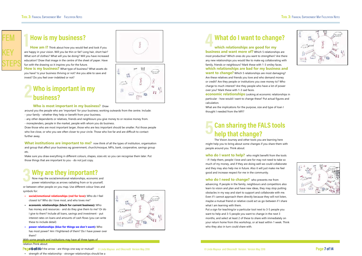## **5 Can sharing the FALS tools help that change?**

The Vision Journey and other tools you are learning here might help you to bring about some changes if you share them with people around you. Think about:

**who do I want to help?** who might benefit from the tools - if I help them, people I love and care for may not need to take so much of my money, and if they are doing well we could collaborate and they may also help me in future. Also it will just make me feel good and increase respect for me in the community.

**who do I need to change?** who prevents me from advancing. If people in the family, neighbours and competitors also learn to vision and plan and have new ideas, they may stop putting obstacles in my way and start to support and collaborate with me. Even if I cannot approach them directly because they will not listen, maybe a mutual friend or relative could act as go-between if I share what I am learning with them.

Put a sign for teaching/or a particular tool next to 3-5 people you want to help and 3-5 people you want to change in the next 3 months, and select at least 2 of these to share with immediately on your return home from this workshop, or at least within 1 week. Think who they also in turn could share with.





## **4 What do I want to change?**

**which relationships are good for my business and want more of?** Which 5 relationships are most productive? Which ones do you want to strengthen? Are there any new relationships you would like to make eg collaborating with family, friends or neighbours? Mark these with 1-3 smiley faces. **which relationships are bad for my business and want to change?** Which 5 relationships are most damaging? Are these relatives and friends you love and who demand money or credit? Are they people or institutions you owe money to? Who charge to much interest? Are they people who have a lot of power over you? Mark these with 1-3 sad faces.

**What institutions are important to me?** now think of all the types of institution, organisation and group that affect your business eg government, church/mosque, MFIs, bank, cooperative, savings group etc.

**economic relationships** Looking at economic relationships in particular - how would I want to change these? Put actual figures and calculation.

What are the implications for the purpose, size and type of loan I thought I needed from the MFI?

## **3 Why are they important?**

**How am I?** Think about how you would feel and look if you are happy in your vision. Will you be thin or fat? Long hair, short hair? What sort of clothes? What will you be doing? Will you have increased education? Draw that image in the centre of the sheet of paper. Have fun with the drawing so it inspires you for the future.

Now map the social/emotional relationships, economic and power relationships as arrows radiating from or to yourself,

**How is my business?** What type of business? What assets do you have? Is your business thriving or not? Are you able to save and invest? Do you feel over-indebted or not?

or between other people on you map. Use different colour lines and symbols for:

- **social/emotional relationships (red for love):** Who do I feel closest to? Who do I love most, and who loves me?
- **economic relationships (black for current business):** Who has money and resources - and do they give them to me? Or do I give to them? Include all loans, savings and investment - put interest rates on loans and amounts of cash flows (you can write these to include detail)
- **power relationships (blue for things we don't want):** Who has most power? Am I frightened of them? Do I have power over them?

With some people and institutions may have all three types of relation.Think about:

**Page ideoloh/of the arrow - are things one way or mutual?** © Linda Mayoux and Oikocredit Version May 2018 **Page 7** of the arrow - are things one way or mutual? © Linda Mayoux and Oikocredit Version: Version: Version May 2

• strength of the relationship - stronger relationships should be a



**2 Who is important in my business?**



### **Who is most important in my business?** Draw

around you the people who are 'important' for your business; working outwards from the centre. Include: - your family - whether they help or benefit from your business.

- any other dependents or relatives, friends and neighbours you give money to or receive money from. - moneylenders, people in the market, people with whom you do business.

Draw those who are most important larger, those who are less important should be smaller. Put those people who live close, or who you see often closer to your circle. Those who live far and are difficult to contact further away.

Make sure you draw everything in different colours, shapes, sizes etc so you can recognise them later. Put those things that are important to you - do not just copy.

### **How is my business?**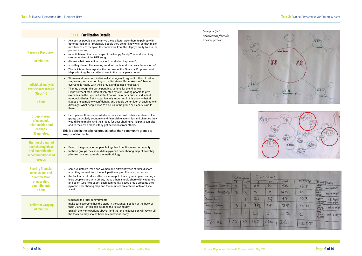| <b>Box 1. Facilitation Details</b>                                                                     |                                                                                                                                                                                                                                                                                                                                                                                                                                                                                                                                                                                                                                                                                      |  |  |  |  |  |  |
|--------------------------------------------------------------------------------------------------------|--------------------------------------------------------------------------------------------------------------------------------------------------------------------------------------------------------------------------------------------------------------------------------------------------------------------------------------------------------------------------------------------------------------------------------------------------------------------------------------------------------------------------------------------------------------------------------------------------------------------------------------------------------------------------------------|--|--|--|--|--|--|
| <b>Pairwise Discussion</b><br><b>20 minutes</b>                                                        | As soon as people start to arrive the facilitator asks them to pair up with<br>other participants - preferably people they do not know well so they make<br>new friends - to recap on the homework from the Happy Family Tree in the<br>previous session.<br>recapitulate on the basic steps of the Happy Family Tree and what they<br>can remember of the HFT song;<br>discuss what new action they took, and what happened?;<br>who they shared the learnings and tool with, and what was the response?<br>The facilitator then explains the purpose of the Financial Empowerment<br>Map, adapting the narrative above to the participant context.                                 |  |  |  |  |  |  |
| <b>Individual analysis</b><br><b>Participants Diaries</b><br>Steps 1-5<br>1 hour                       | Women and men draw individually but again it is good for them to sit in<br>single sex groups according to marital status. But make sure/observe<br>everyone is happy with their group, and adjust if necessary.<br>Then go through the participant instructions for the Financial<br>Empowerment Map interactively step by step, inviting people to give<br>examples on the flipchart at the front as the others draw in individual<br>notebook diaries. But it is particularly important in this activity that all<br>stages are completely confidential, and people do not look at each other's<br>drawings. What people wish to discuss in the group or plenary is up to<br>them. |  |  |  |  |  |  |
| <b>Group sharing</b><br>of economic<br>relationships and<br>changes<br>30 minutes.                     | Each person then shares whatever they want with other members of the<br>group, particularly economic and financial relationships and changes they<br>would like to make. And their ideas for peer sharing. Participants can also<br>add to their own maps if they get new ideas from others.<br>This is done in the original groups rather than community groups to<br>keep confidentiality.                                                                                                                                                                                                                                                                                         |  |  |  |  |  |  |
| <b>Sharing of pyramid</b><br>peer sharing ideas<br>and quantification<br>in community-based<br>groups  | Reform the groups to put people together from the same community<br>In these groups they should do a pyramid peer sharing map of how they<br>plan to share and upscale the methodology.                                                                                                                                                                                                                                                                                                                                                                                                                                                                                              |  |  |  |  |  |  |
| <b>Sharing financial</b><br>conclusions and<br>quantification<br>of upscaling<br>commitments<br>1 hour | some volunteers (men and women and different types of family) share<br>what they learned from the tool, particularly on financial resources<br>the facilitator introduces the 'spider map' to track pyramid peer sharing -<br>ie as people share with others, those others should share with yet others<br>and so on (see next page). Each community-based group presents their<br>pyramid peer sharing map and the numbers are entered onto an Excel<br>sheet.                                                                                                                                                                                                                      |  |  |  |  |  |  |
| <b>Facilitator wrap up</b><br><b>20 minutes</b>                                                        | feedback the total commitments<br>make sure everyone has the steps in the Manual Section at the back of<br>their Diaries - or this can be done the following day<br>Explain the Homework as above - and that the next session will revisit all<br>the tools, so they should have any questions ready.                                                                                                                                                                                                                                                                                                                                                                                |  |  |  |  |  |  |

*Group output commitments from the semendo farmers*





|                   | Champons     |                | Outreach       |          |                   |               |                                                                                      |
|-------------------|--------------|----------------|----------------|----------|-------------------|---------------|--------------------------------------------------------------------------------------|
|                   |              | m              |                | <b>M</b> | $A = \frac{1}{2}$ | <b>QUAROR</b> | DAY DATE                                                                             |
| Muara Danau       | $\mathbf{2}$ | $\overline{2}$ | 26             | 30       | 56                | 16.5          | MON<br>mi. 10 d'a <sup>3</sup><br>2.00                                               |
| Palau<br>Ponggung | 3            | $\mathbf{B}$   | 31             | 9        | 40                | o             | <b>NED</b><br>Canal<br>Walk or all                                                   |
| Baise tan         |              |                | 21             | 57       | 78                | 10, 3         | <b>SBT</b><br>$16$ April                                                             |
| Tehing about      | в            | 3              | $\mathfrak{z}$ | 19       | 25                | 4.10          | O(1001)<br>$0 - 17$ of $\sigma^2$<br>$\frac{500}{227}$<br>twi, ito of a <sup>1</sup> |
| Datar Leber       |              |                | 21             | 21       | 42                | 21            | TUE<br>min.5007<br>$9-4A$<br>(± ++1)                                                 |
| TOTAL             | 10           | 10             | 105            | 136      | 241               | 12,05         |                                                                                      |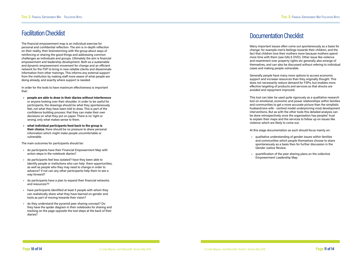### Documentation Checklist

Many important issues often come out spontaneously as a basis for change: for example men's feelings towards their children, and the fact that children love their mothers more because mothers spend more time with them (see GALS DVD). Other issue like violence and resentment over property rights etc generally also emerge of themselves, and can also be discussed without refering to individual cases and making people vulnerable.

Generally people have many more options to access economic support and increase resources than they originally thought. This does not necessarily reduce demand for FSPs, but enables more effective targeting of products and services so that shocks are avoided and repayment improved.

This tool can later be used quite rigorously as a qualitative research tool on emotional, economic and power relationships within families and communities to get a more accurate picture than the simplistic husband/one wife - centred model underpinning most development interventions. But as with the other tools this detailed analysis can be done retrospectively once the organisation has peoples' trust to explain their maps and the services to follow up on issues like violence which are likely to come out.

At this stage documentation as such should focus mainly on:

• qualitative understanding of gender issues within families and communities which people themselves choose to share spontaneously as a basis then for further discussion in the

- Gender Justice Review.
- 

• quantification of the peer sharing plans on the collective Empowerment Leadership Map



## Facilitation Checklist

The financial empowerment map is an individual exercise for personal and confidential reflection. The aim is in-depth reflection on their reality, then brainstorming with the group about ways of reinforcing or sharing the good things and addressing common challenges as individuals and groups. Ultimately the aim is financial empowerment and leadership development. Both as a sustainable and dynamic empowerment movement for change and an efficient network for the FSP to bring in new reliable clients and disseminate information from other trainings. This informs any external support from the institution by making staff more aware of what people are doing already, and exactly where support is needed.

In order for the tools to have maximum effectiveness is important that:

- **people are able to draw in their diaries without interference** or anyone looking over their shoulder. In order to be useful for participants, the drawings should be what they spontaneously feel, not what they have been told to draw. This is part of the confidence building process: that they can make their own decisions on what they put on paper. There is no 'right or wrong', only what makes sense to them.
- **what individual participants feed back to the group is their choice**; there should be no pressure to share personal information which might make people uncomfortable or vulnerable.

The main outcomes for participants should be:

- do participants have their Financial Empowerment Map with action steps in the notebook diaries?
- do participants feel less isolated? have they been able to identify people or institutions who can help them opportunities, as well as people who they may need to change in order to advance? if not can any other participants help them to see a way forward?
- do participants have a plan to expand their financial networks and resources??
- have participants identified at least 5 people with whom they can realistically share what they have learned on gender and tools as part of moving towards their vision?
- do they understand the pyramid peer sharing concept? Do they have the spider diagram in their notebooks for sharing and tracking on the page opposite the tool steps at the back of their diaries?

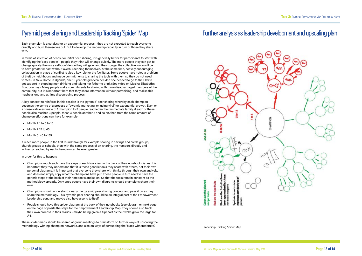## Pyramid peer sharing and Leadership Tracking 'Spider' Map

Each champion is a catalyst for an exponential process - they are not expected to reach everyone directly and burn themselves out. But to develop the leadership capacity in turn of those they share with.

In terms of selection of people for initial peer sharing, it is generally better for participants to start with identifying the 'easy people' - people they think will change quickly. The more people they can get to change quickly the more self-confidence they will gain, and the stronger the collective voice will be to have greater impact without overburdenning themselves. At the same time, actively encouraging collaboration in place of conflict is also a key role for the facilitator. Some people have noted a problem of theft by neighbours and made commitments to sharing the tools with them so they do not need to steal. In New Home in Uganda, one 16 year old girl even decided she needed to go to the LC3 to get support in stopping men drinking and taking her father to drink (See video on Masika Elizabeth's Road Journey). Many people make commitments to sharing with more disadvantaged members of the community, but it is important here that they share information without patronising, and realise this maybe a long and at time discouraging process.

These spider maps should be shared at group meetings to brainstorm on further ways of upscaling the methodology withing champion networks, and also on ways of persuading the 'black withered fruits'. Leadership Tracking Spider Map

A key concept to reinforce in this session is the 'pyramid' peer sharing whereby each champion becomes the centre of a process of 'pyramid marketing' or 'going viral' for exponential growth. Even on a conservative estimate of 1 champion to 5 people reached in their immediate family, if each of these people also reaches 3 people, those 3 people another 3 and so on, then from the same amount of champion effort one can have for example:

- Month 1: 1 to 5 to 15
- Month 2:15 to 45
- Month 3: 45 to 135

If reach more people in the first round through for example sharing in savings and credit groups, church groups or schools, then with the same process of on-sharing, the numbers directly and indirectly reached by each champion can be even greater.

In order for this to happen:

- Champions much each have the steps of each tool clear in the back of their notebook diaries. It is important thay they understand that it is these generic tools they share with others, not their own personal diagrams. It is important that everyone they share with thinks through their own analysis, and does not simply copy what the champions have put. These people in turn need to have the generic steps at the back of their notebooks and so on. So that the tools remain constant as the methodology spreads. Only once people have their own diagrams should champions share their own.
- Champions should understand clearly the pyramid peer sharing concept and pass it on as they share the methodology. This pyramid peer sharing should be an integral part of the Empowerment Leadership song and maybe also have a song to itself.
- People should have this spider diagram at the back of their notebooks (see diagram on next page) on the page opposite the steps for the Empowerment Leadership Map. They should also track their own process in their diaries - maybe being given a flipchart as their webs grow too large for A4.

## Further analysis as leadership development and upscaling plan